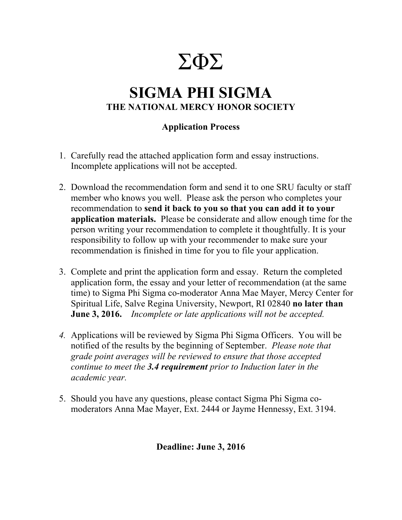# ΣΦΣ

## **SIGMA PHI SIGMA THE NATIONAL MERCY HONOR SOCIETY**

## **Application Process**

- 1. Carefully read the attached application form and essay instructions. Incomplete applications will not be accepted.
- 2. Download the recommendation form and send it to one SRU faculty or staff member who knows you well. Please ask the person who completes your recommendation to **send it back to you so that you can add it to your application materials.** Please be considerate and allow enough time for the person writing your recommendation to complete it thoughtfully. It is your responsibility to follow up with your recommender to make sure your recommendation is finished in time for you to file your application.
- 3. Complete and print the application form and essay. Return the completed application form, the essay and your letter of recommendation (at the same time) to Sigma Phi Sigma co-moderator Anna Mae Mayer, Mercy Center for Spiritual Life, Salve Regina University, Newport, RI 02840 **no later than June 3, 2016.** *Incomplete or late applications will not be accepted.*
- *4.* Applications will be reviewed by Sigma Phi Sigma Officers. You will be notified of the results by the beginning of September. *Please note that grade point averages will be reviewed to ensure that those accepted continue to meet the 3.4 requirement prior to Induction later in the academic year.*
- 5. Should you have any questions, please contact Sigma Phi Sigma comoderators Anna Mae Mayer, Ext. 2444 or Jayme Hennessy, Ext. 3194.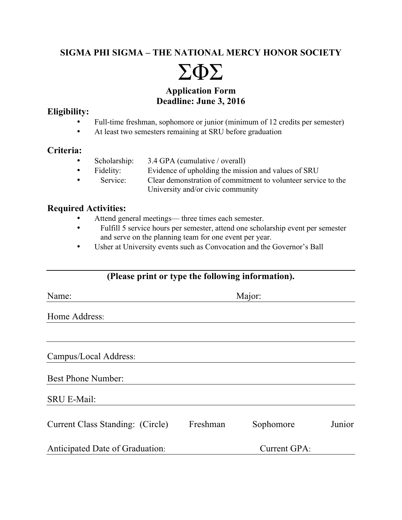## **SIGMA PHI SIGMA – THE NATIONAL MERCY HONOR SOCIETY**



## **Application Form Deadline: June 3, 2016**

#### **Eligibility:**

- Full-time freshman, sophomore or junior (minimum of 12 credits per semester)
- At least two semesters remaining at SRU before graduation

## **Criteria:**

- Scholarship: 3.4 GPA (cumulative / overall)
- Fidelity: Evidence of upholding the mission and values of SRU
- Service: Clear demonstration of commitment to volunteer service to the University and/or civic community

## **Required Activities:**

- Attend general meetings— three times each semester.
- Fulfill 5 service hours per semester, attend one scholarship event per semester and serve on the planning team for one event per year.
- Usher at University events such as Convocation and the Governor's Ball

## **(Please print or type the following information).**

| Name:                            | Major:       |           |        |  |  |  |
|----------------------------------|--------------|-----------|--------|--|--|--|
| Home Address:                    |              |           |        |  |  |  |
|                                  |              |           |        |  |  |  |
| Campus/Local Address:            |              |           |        |  |  |  |
| <b>Best Phone Number:</b>        |              |           |        |  |  |  |
| <b>SRU E-Mail:</b>               |              |           |        |  |  |  |
| Current Class Standing: (Circle) | Freshman     | Sophomore | Junior |  |  |  |
| Anticipated Date of Graduation:  | Current GPA: |           |        |  |  |  |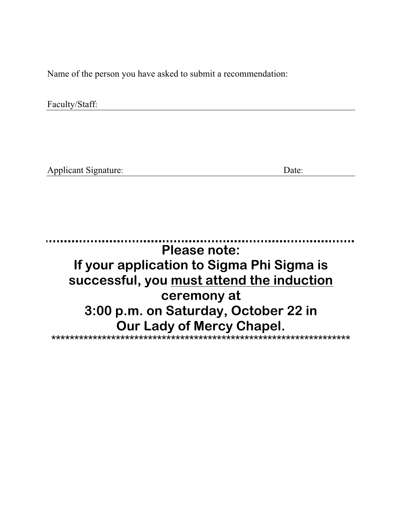Name of the person you have asked to submit a recommendation:

Faculty/Staff:

**Applicant Signature:** 

Date:

**Please note:** If your application to Sigma Phi Sigma is successful, you must attend the induction ceremony at 3:00 p.m. on Saturday, October 22 in Our Lady of Mercy Chapel.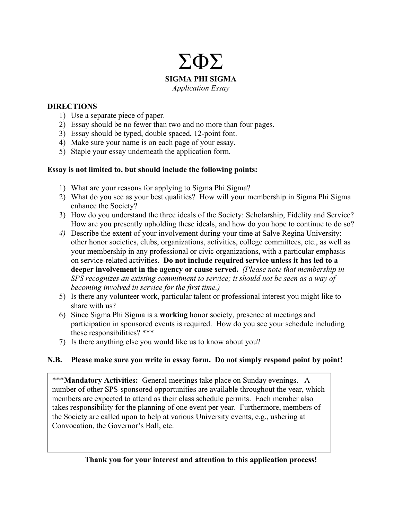

#### **DIRECTIONS**

- 1) Use a separate piece of paper.
- 2) Essay should be no fewer than two and no more than four pages.
- 3) Essay should be typed, double spaced, 12-point font.
- 4) Make sure your name is on each page of your essay.
- 5) Staple your essay underneath the application form.

#### **Essay is not limited to, but should include the following points:**

- 1) What are your reasons for applying to Sigma Phi Sigma?
- 2) What do you see as your best qualities? How will your membership in Sigma Phi Sigma enhance the Society?
- 3) How do you understand the three ideals of the Society: Scholarship, Fidelity and Service? How are you presently upholding these ideals, and how do you hope to continue to do so?
- *4)* Describe the extent of your involvement during your time at Salve Regina University: other honor societies, clubs, organizations, activities, college committees, etc., as well as your membership in any professional or civic organizations, with a particular emphasis on service-related activities. **Do not include required service unless it has led to a deeper involvement in the agency or cause served.** *(Please note that membership in SPS recognizes an existing commitment to service; it should not be seen as a way of becoming involved in service for the first time.)*
- 5) Is there any volunteer work, particular talent or professional interest you might like to share with us?
- 6) Since Sigma Phi Sigma is a **working** honor society, presence at meetings and participation in sponsored events is required. How do you see your schedule including these responsibilities? \*\*\*
- 7) Is there anything else you would like us to know about you?

#### **N.B. Please make sure you write in essay form. Do not simply respond point by point!**

\*\*\***Mandatory Activities:** General meetings take place on Sunday evenings. A number of other SPS-sponsored opportunities are available throughout the year, which members are expected to attend as their class schedule permits. Each member also takes responsibility for the planning of one event per year. Furthermore, members of the Society are called upon to help at various University events, e.g., ushering at Convocation, the Governor's Ball, etc.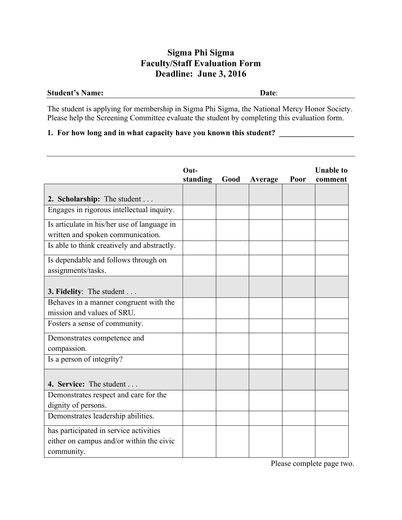## **Sigma Phi Sigma Faculty/Staff Evaluation Form Deadline: June 3, 2016**

#### **Student's Name: Date**:

The student is applying for membership in Sigma Phi Sigma, the National Mercy Honor Society. Please help the Screening Committee evaluate the student by completing this evaluation form.

## **1. For how long and in what capacity have you known this student?** \_\_\_\_\_\_\_\_\_\_\_\_\_\_

|                                             | $Out-$   |      |         |      | <b>Unable to</b> |
|---------------------------------------------|----------|------|---------|------|------------------|
|                                             | standing | Good | Average | Poor | comment          |
|                                             |          |      |         |      |                  |
| 2. Scholarship: The student                 |          |      |         |      |                  |
| Engages in rigorous intellectual inquiry.   |          |      |         |      |                  |
| Is articulate in his/her use of language in |          |      |         |      |                  |
| written and spoken communication.           |          |      |         |      |                  |
| Is able to think creatively and abstractly. |          |      |         |      |                  |
| Is dependable and follows through on        |          |      |         |      |                  |
| assignments/tasks.                          |          |      |         |      |                  |
|                                             |          |      |         |      |                  |
| 3. Fidelity: The student                    |          |      |         |      |                  |
| Behaves in a manner congruent with the      |          |      |         |      |                  |
| mission and values of SRU.                  |          |      |         |      |                  |
| Fosters a sense of community.               |          |      |         |      |                  |
| Demonstrates competence and                 |          |      |         |      |                  |
| compassion.                                 |          |      |         |      |                  |
| Is a person of integrity?                   |          |      |         |      |                  |
|                                             |          |      |         |      |                  |
| 4. Service: The student                     |          |      |         |      |                  |
| Demonstrates respect and care for the       |          |      |         |      |                  |
| dignity of persons.                         |          |      |         |      |                  |
| Demonstrates leadership abilities.          |          |      |         |      |                  |
| has participated in service activities      |          |      |         |      |                  |
| either on campus and/or within the civic    |          |      |         |      |                  |
| community.                                  |          |      |         |      |                  |

Please complete page two.